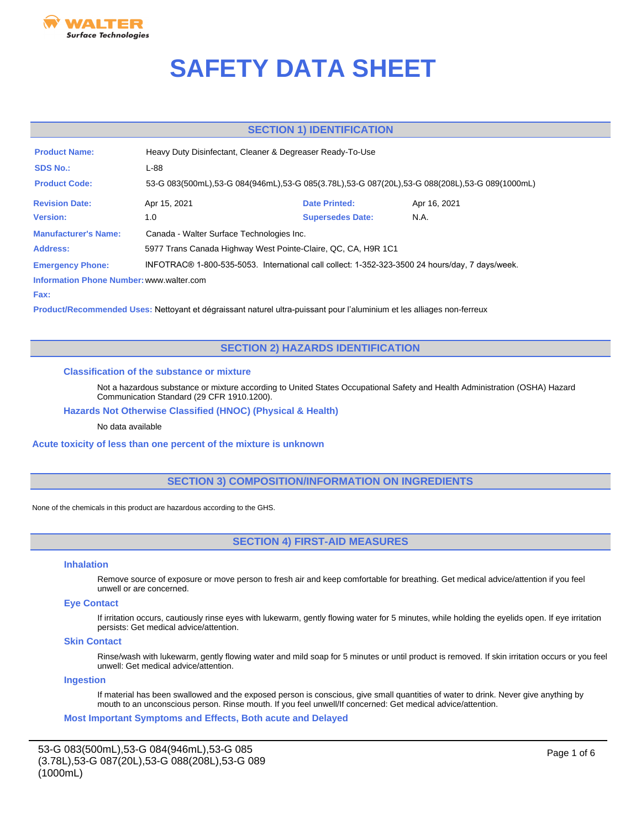

# **SAFETY DATA SHEET**

# **SECTION 1) IDENTIFICATION**

| <b>Product Name:</b>                     | Heavy Duty Disinfectant, Cleaner & Degreaser Ready-To-Use                                       |                                                                                               |              |  |  |  |  |
|------------------------------------------|-------------------------------------------------------------------------------------------------|-----------------------------------------------------------------------------------------------|--------------|--|--|--|--|
| <b>SDS No.:</b>                          | L-88                                                                                            |                                                                                               |              |  |  |  |  |
| <b>Product Code:</b>                     |                                                                                                 | 53-G 083(500mL),53-G 084(946mL),53-G 085(3.78L),53-G 087(20L),53-G 088(208L),53-G 089(1000mL) |              |  |  |  |  |
| <b>Revision Date:</b>                    | Apr 15, 2021                                                                                    | <b>Date Printed:</b>                                                                          | Apr 16, 2021 |  |  |  |  |
| <b>Version:</b>                          | 1.0                                                                                             | <b>Supersedes Date:</b>                                                                       | N.A.         |  |  |  |  |
| <b>Manufacturer's Name:</b>              | Canada - Walter Surface Technologies Inc.                                                       |                                                                                               |              |  |  |  |  |
| Address:                                 | 5977 Trans Canada Highway West Pointe-Claire, QC, CA, H9R 1C1                                   |                                                                                               |              |  |  |  |  |
| <b>Emergency Phone:</b>                  | INFOTRAC® 1-800-535-5053. International call collect: 1-352-323-3500 24 hours/day, 7 days/week. |                                                                                               |              |  |  |  |  |
| Information Phone Number: www.walter.com |                                                                                                 |                                                                                               |              |  |  |  |  |

**Fax:**

**Product/Recommended Uses:** Nettoyant et dégraissant naturel ultra-puissant pour l'aluminium et les alliages non-ferreux

# **SECTION 2) HAZARDS IDENTIFICATION**

# **Classification of the substance or mixture**

Not a hazardous substance or mixture according to United States Occupational Safety and Health Administration (OSHA) Hazard Communication Standard (29 CFR 1910.1200).

# **Hazards Not Otherwise Classified (HNOC) (Physical & Health)**

# No data available

## **Acute toxicity of less than one percent of the mixture is unknown**

# **SECTION 3) COMPOSITION/INFORMATION ON INGREDIENTS**

None of the chemicals in this product are hazardous according to the GHS.

# **SECTION 4) FIRST-AID MEASURES**

#### **Inhalation**

Remove source of exposure or move person to fresh air and keep comfortable for breathing. Get medical advice/attention if you feel unwell or are concerned.

# **Eye Contact**

If irritation occurs, cautiously rinse eyes with lukewarm, gently flowing water for 5 minutes, while holding the eyelids open. If eye irritation persists: Get medical advice/attention.

### **Skin Contact**

Rinse/wash with lukewarm, gently flowing water and mild soap for 5 minutes or until product is removed. If skin irritation occurs or you feel unwell: Get medical advice/attention.

# **Ingestion**

If material has been swallowed and the exposed person is conscious, give small quantities of water to drink. Never give anything by mouth to an unconscious person. Rinse mouth. If you feel unwell/If concerned: Get medical advice/attention.

**Most Important Symptoms and Effects, Both acute and Delayed**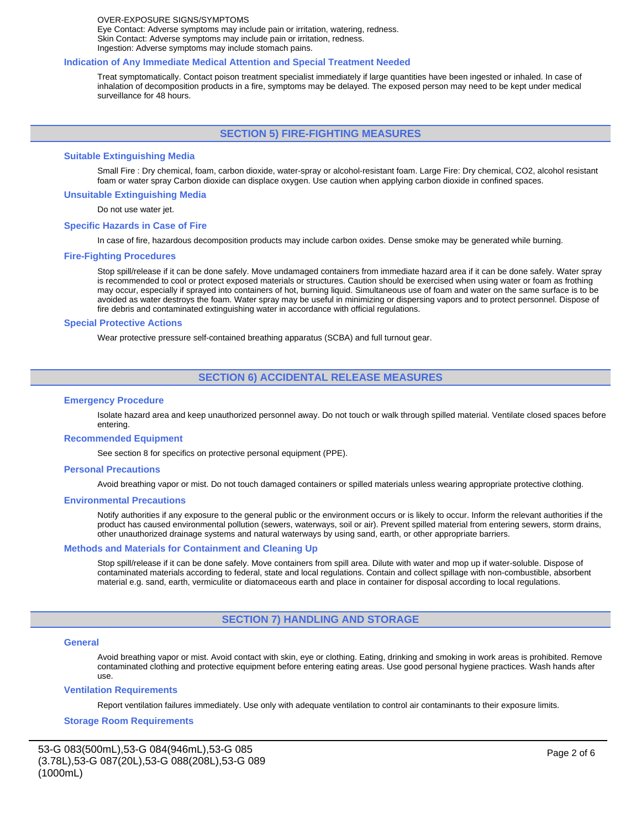#### OVER-EXPOSURE SIGNS/SYMPTOMS Eye Contact: Adverse symptoms may include pain or irritation, watering, redness. Skin Contact: Adverse symptoms may include pain or irritation, redness. Ingestion: Adverse symptoms may include stomach pains.

#### **Indication of Any Immediate Medical Attention and Special Treatment Needed**

Treat symptomatically. Contact poison treatment specialist immediately if large quantities have been ingested or inhaled. In case of inhalation of decomposition products in a fire, symptoms may be delayed. The exposed person may need to be kept under medical surveillance for 48 hours.

# **SECTION 5) FIRE-FIGHTING MEASURES**

#### **Suitable Extinguishing Media**

Small Fire : Dry chemical, foam, carbon dioxide, water-spray or alcohol-resistant foam. Large Fire: Dry chemical, CO2, alcohol resistant foam or water spray Carbon dioxide can displace oxygen. Use caution when applying carbon dioxide in confined spaces.

### **Unsuitable Extinguishing Media**

Do not use water jet.

#### **Specific Hazards in Case of Fire**

In case of fire, hazardous decomposition products may include carbon oxides. Dense smoke may be generated while burning.

#### **Fire-Fighting Procedures**

Stop spill/release if it can be done safely. Move undamaged containers from immediate hazard area if it can be done safely. Water spray is recommended to cool or protect exposed materials or structures. Caution should be exercised when using water or foam as frothing may occur, especially if sprayed into containers of hot, burning liquid. Simultaneous use of foam and water on the same surface is to be avoided as water destroys the foam. Water spray may be useful in minimizing or dispersing vapors and to protect personnel. Dispose of fire debris and contaminated extinguishing water in accordance with official regulations.

#### **Special Protective Actions**

Wear protective pressure self-contained breathing apparatus (SCBA) and full turnout gear.

# **SECTION 6) ACCIDENTAL RELEASE MEASURES**

#### **Emergency Procedure**

Isolate hazard area and keep unauthorized personnel away. Do not touch or walk through spilled material. Ventilate closed spaces before entering.

#### **Recommended Equipment**

See section 8 for specifics on protective personal equipment (PPE).

#### **Personal Precautions**

Avoid breathing vapor or mist. Do not touch damaged containers or spilled materials unless wearing appropriate protective clothing.

#### **Environmental Precautions**

Notify authorities if any exposure to the general public or the environment occurs or is likely to occur. Inform the relevant authorities if the product has caused environmental pollution (sewers, waterways, soil or air). Prevent spilled material from entering sewers, storm drains, other unauthorized drainage systems and natural waterways by using sand, earth, or other appropriate barriers.

#### **Methods and Materials for Containment and Cleaning Up**

Stop spill/release if it can be done safely. Move containers from spill area. Dilute with water and mop up if water-soluble. Dispose of contaminated materials according to federal, state and local regulations. Contain and collect spillage with non-combustible, absorbent material e.g. sand, earth, vermiculite or diatomaceous earth and place in container for disposal according to local regulations.

## **SECTION 7) HANDLING AND STORAGE**

#### **General**

Avoid breathing vapor or mist. Avoid contact with skin, eye or clothing. Eating, drinking and smoking in work areas is prohibited. Remove contaminated clothing and protective equipment before entering eating areas. Use good personal hygiene practices. Wash hands after use.

#### **Ventilation Requirements**

Report ventilation failures immediately. Use only with adequate ventilation to control air contaminants to their exposure limits.

#### **Storage Room Requirements**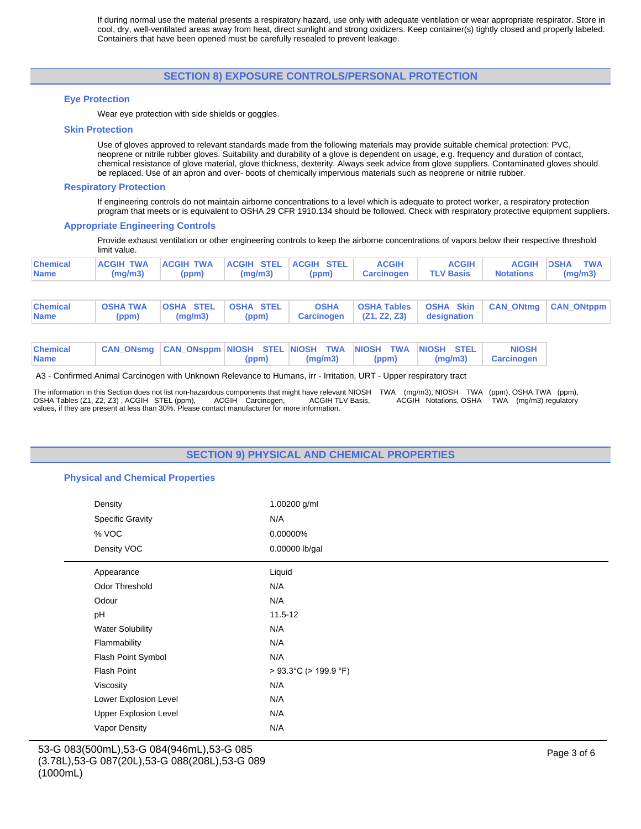If during normal use the material presents a respiratory hazard, use only with adequate ventilation or wear appropriate respirator. Store in cool, dry, well-ventilated areas away from heat, direct sunlight and strong oxidizers. Keep container(s) tightly closed and properly labeled. Containers that have been opened must be carefully resealed to prevent leakage.

# **SECTION 8) EXPOSURE CONTROLS/PERSONAL PROTECTION**

## **Eye Protection**

Wear eye protection with side shields or goggles.

#### **Skin Protection**

Use of gloves approved to relevant standards made from the following materials may provide suitable chemical protection: PVC, neoprene or nitrile rubber gloves. Suitability and durability of a glove is dependent on usage, e.g. frequency and duration of contact, chemical resistance of glove material, glove thickness, dexterity. Always seek advice from glove suppliers. Contaminated gloves should be replaced. Use of an apron and over- boots of chemically impervious materials such as neoprene or nitrile rubber.

### **Respiratory Protection**

If engineering controls do not maintain airborne concentrations to a level which is adequate to protect worker, a respiratory protection program that meets or is equivalent to OSHA 29 CFR 1910.134 should be followed. Check with respiratory protective equipment suppliers.

### **Appropriate Engineering Controls**

Provide exhaust ventilation or other engineering controls to keep the airborne concentrations of vapors below their respective threshold limit value.

| <b>Chemical</b><br><b>Name</b> |  | ACGIH TWA ACGIH TWA ACGIH STEL ACGIH STEL ACGIH<br>$(mg/m3)$ (ppm) $(mg/m3)$ (ppm) Carcinogen TLV Basis Notations (mg/m3) | <b>ACGIH</b> | ACGIH OSHA TWA |
|--------------------------------|--|---------------------------------------------------------------------------------------------------------------------------|--------------|----------------|
|                                |  |                                                                                                                           |              |                |

| <b>Chemical</b><br><b>Name</b> |  | OSHATWA OSHA STEL OSHA STEL I |  |  | OSHA   OSHA Tables   OSHA Skin   CAN_ONtmg   CAN_ONtppm<br>(ppm)   (mg/m3)   (ppm)   Carcinogen   (Z1, Z2, Z3)   designation |  |  |  |
|--------------------------------|--|-------------------------------|--|--|------------------------------------------------------------------------------------------------------------------------------|--|--|--|
|--------------------------------|--|-------------------------------|--|--|------------------------------------------------------------------------------------------------------------------------------|--|--|--|

| <b>Chemical</b> | CAN_ONsmg CAN_ONsppm NIOSH STEL NIOSH TWA NIOSH TWA NIOSH STEL |  |                   |  |  | <b>NIOSH</b>                 |
|-----------------|----------------------------------------------------------------|--|-------------------|--|--|------------------------------|
| <b>Name</b>     |                                                                |  | $(ppm)$ $(mq/m3)$ |  |  | (ppm)   (mg/m3)   Carcinogen |

A3 - Confirmed Animal Carcinogen with Unknown Relevance to Humans, irr - Irritation, URT - Upper respiratory tract

The information in this Section does not list non-hazardous components that might have relevant NIOSH TWA (mg/m3), NIOSH TWA (ppm), OSHA TWA (ppm),<br>OSHA Tables (Z1, Z2, Z3) , ACGIH STEL (ppm), ACGIH Carcinogen, ACGIH TLV B values, if they are present at less than 30%. Please contact manufacturer for more information.

# **SECTION 9) PHYSICAL AND CHEMICAL PROPERTIES**

# **Physical and Chemical Properties**

| Density                      | 1.00200 g/ml          |
|------------------------------|-----------------------|
| <b>Specific Gravity</b>      | N/A                   |
| % VOC                        | 0.00000%              |
| Density VOC                  | 0.00000 lb/gal        |
| Appearance                   | Liquid                |
| Odor Threshold               | N/A                   |
| Odour                        | N/A                   |
| pH                           | $11.5 - 12$           |
| <b>Water Solubility</b>      | N/A                   |
| Flammability                 | N/A                   |
| Flash Point Symbol           | N/A                   |
| <b>Flash Point</b>           | > 93.3°C (> 199.9 °F) |
| Viscosity                    | N/A                   |
| Lower Explosion Level        | N/A                   |
| <b>Upper Explosion Level</b> | N/A                   |
| Vapor Density                | N/A                   |
|                              |                       |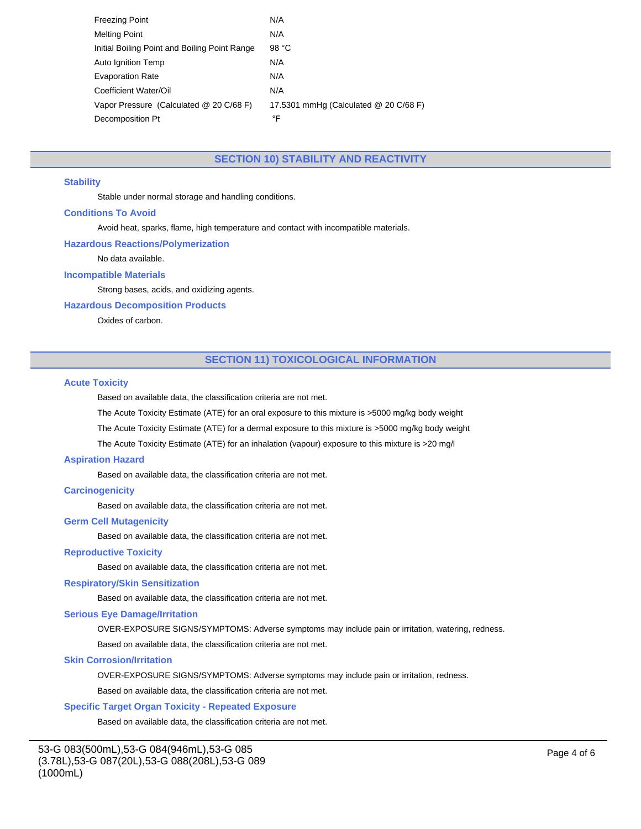| <b>Freezing Point</b>                         | N/A                                   |
|-----------------------------------------------|---------------------------------------|
| <b>Melting Point</b>                          | N/A                                   |
| Initial Boiling Point and Boiling Point Range | 98 °C                                 |
| Auto Ignition Temp                            | N/A                                   |
| <b>Evaporation Rate</b>                       | N/A                                   |
| Coefficient Water/Oil                         | N/A                                   |
| Vapor Pressure (Calculated @ 20 C/68 F)       | 17.5301 mmHg (Calculated @ 20 C/68 F) |
| Decomposition Pt                              | °F                                    |

# **SECTION 10) STABILITY AND REACTIVITY**

## **Stability**

Stable under normal storage and handling conditions.

## **Conditions To Avoid**

Avoid heat, sparks, flame, high temperature and contact with incompatible materials.

#### **Hazardous Reactions/Polymerization**

No data available.

# **Incompatible Materials**

Strong bases, acids, and oxidizing agents.

## **Hazardous Decomposition Products**

Oxides of carbon.

# **SECTION 11) TOXICOLOGICAL INFORMATION**

#### **Acute Toxicity**

Based on available data, the classification criteria are not met.

The Acute Toxicity Estimate (ATE) for an oral exposure to this mixture is >5000 mg/kg body weight

The Acute Toxicity Estimate (ATE) for a dermal exposure to this mixture is >5000 mg/kg body weight

The Acute Toxicity Estimate (ATE) for an inhalation (vapour) exposure to this mixture is >20 mg/l

## **Aspiration Hazard**

Based on available data, the classification criteria are not met.

# **Carcinogenicity**

Based on available data, the classification criteria are not met.

#### **Germ Cell Mutagenicity**

Based on available data, the classification criteria are not met.

## **Reproductive Toxicity**

Based on available data, the classification criteria are not met.

## **Respiratory/Skin Sensitization**

Based on available data, the classification criteria are not met.

## **Serious Eye Damage/Irritation**

OVER-EXPOSURE SIGNS/SYMPTOMS: Adverse symptoms may include pain or irritation, watering, redness.

Based on available data, the classification criteria are not met.

#### **Skin Corrosion/Irritation**

OVER-EXPOSURE SIGNS/SYMPTOMS: Adverse symptoms may include pain or irritation, redness.

Based on available data, the classification criteria are not met.

### **Specific Target Organ Toxicity - Repeated Exposure**

Based on available data, the classification criteria are not met.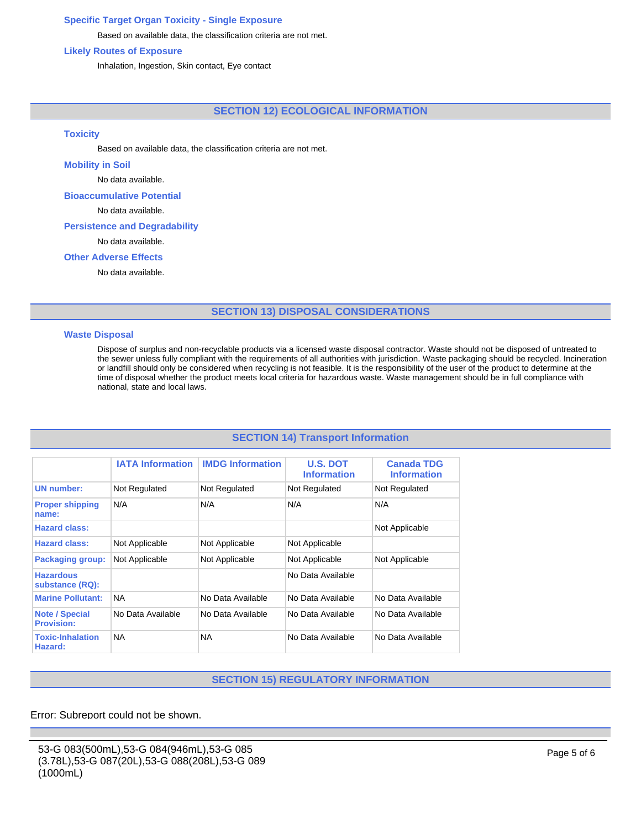# **Specific Target Organ Toxicity - Single Exposure**

Based on available data, the classification criteria are not met.

# **Likely Routes of Exposure**

Inhalation, Ingestion, Skin contact, Eye contact

# **SECTION 12) ECOLOGICAL INFORMATION**

## **Toxicity**

Based on available data, the classification criteria are not met.

## **Mobility in Soil**

No data available.

# **Bioaccumulative Potential**

No data available.

## **Persistence and Degradability**

No data available.

# **Other Adverse Effects**

No data available.

# **SECTION 13) DISPOSAL CONSIDERATIONS**

## **Waste Disposal**

Dispose of surplus and non-recyclable products via a licensed waste disposal contractor. Waste should not be disposed of untreated to the sewer unless fully compliant with the requirements of all authorities with jurisdiction. Waste packaging should be recycled. Incineration or landfill should only be considered when recycling is not feasible. It is the responsibility of the user of the product to determine at the time of disposal whether the product meets local criteria for hazardous waste. Waste management should be in full compliance with national, state and local laws.

# **SECTION 14) Transport Information**

|                                            | <b>IATA Information</b> | <b>IMDG Information</b> | <b>U.S. DOT</b><br><b>Information</b> | <b>Canada TDG</b><br><b>Information</b> |
|--------------------------------------------|-------------------------|-------------------------|---------------------------------------|-----------------------------------------|
| <b>UN number:</b>                          | Not Regulated           | Not Regulated           | Not Regulated                         | Not Regulated                           |
| <b>Proper shipping</b><br>name:            | N/A                     | N/A                     | N/A                                   | N/A                                     |
| <b>Hazard class:</b>                       |                         |                         |                                       | Not Applicable                          |
| <b>Hazard class:</b>                       | Not Applicable          | Not Applicable          | Not Applicable                        |                                         |
| <b>Packaging group:</b>                    | Not Applicable          | Not Applicable          | Not Applicable                        | Not Applicable                          |
| <b>Hazardous</b><br>substance (RQ):        |                         |                         | No Data Available                     |                                         |
| <b>Marine Pollutant:</b>                   | <b>NA</b>               | No Data Available       | No Data Available                     | No Data Available                       |
| <b>Note / Special</b><br><b>Provision:</b> | No Data Available       | No Data Available       | No Data Available                     | No Data Available                       |
| <b>Toxic-Inhalation</b><br>Hazard:         | <b>NA</b>               | <b>NA</b>               | No Data Available                     | No Data Available                       |

# **SECTION 15) REGULATORY INFORMATION**

Error: Subreport could not be shown.